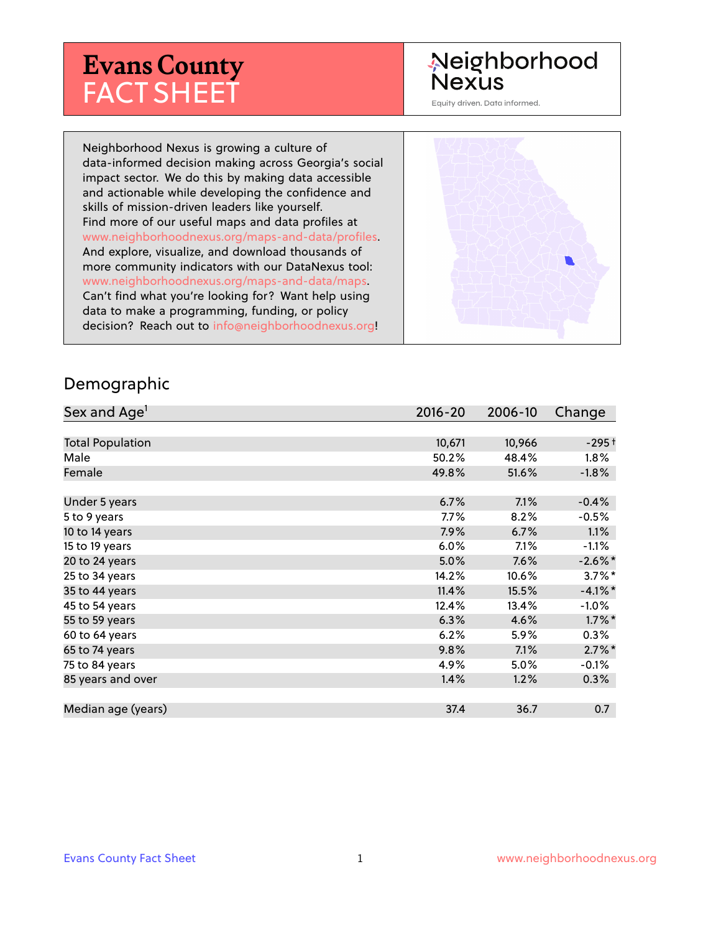# **Evans County** FACT SHEET

# Neighborhood **Nexus**

Equity driven. Data informed.

Neighborhood Nexus is growing a culture of data-informed decision making across Georgia's social impact sector. We do this by making data accessible and actionable while developing the confidence and skills of mission-driven leaders like yourself. Find more of our useful maps and data profiles at www.neighborhoodnexus.org/maps-and-data/profiles. And explore, visualize, and download thousands of more community indicators with our DataNexus tool: www.neighborhoodnexus.org/maps-and-data/maps. Can't find what you're looking for? Want help using data to make a programming, funding, or policy decision? Reach out to [info@neighborhoodnexus.org!](mailto:info@neighborhoodnexus.org)



### Demographic

| Sex and Age <sup>1</sup> | $2016 - 20$ | 2006-10 | Change     |
|--------------------------|-------------|---------|------------|
|                          |             |         |            |
| <b>Total Population</b>  | 10,671      | 10,966  | $-295+$    |
| Male                     | 50.2%       | 48.4%   | $1.8\%$    |
| Female                   | 49.8%       | 51.6%   | $-1.8%$    |
|                          |             |         |            |
| Under 5 years            | 6.7%        | 7.1%    | $-0.4%$    |
| 5 to 9 years             | $7.7\%$     | 8.2%    | $-0.5\%$   |
| 10 to 14 years           | 7.9%        | 6.7%    | $1.1\%$    |
| 15 to 19 years           | 6.0%        | 7.1%    | $-1.1%$    |
| 20 to 24 years           | 5.0%        | 7.6%    | $-2.6\%$ * |
| 25 to 34 years           | 14.2%       | 10.6%   | $3.7\%$ *  |
| 35 to 44 years           | 11.4%       | 15.5%   | $-4.1%$ *  |
| 45 to 54 years           | 12.4%       | 13.4%   | $-1.0%$    |
| 55 to 59 years           | 6.3%        | 4.6%    | $1.7\%$ *  |
| 60 to 64 years           | 6.2%        | 5.9%    | $0.3\%$    |
| 65 to 74 years           | 9.8%        | 7.1%    | $2.7\%$ *  |
| 75 to 84 years           | 4.9%        | 5.0%    | $-0.1\%$   |
| 85 years and over        | 1.4%        | 1.2%    | $0.3\%$    |
|                          |             |         |            |
| Median age (years)       | 37.4        | 36.7    | 0.7        |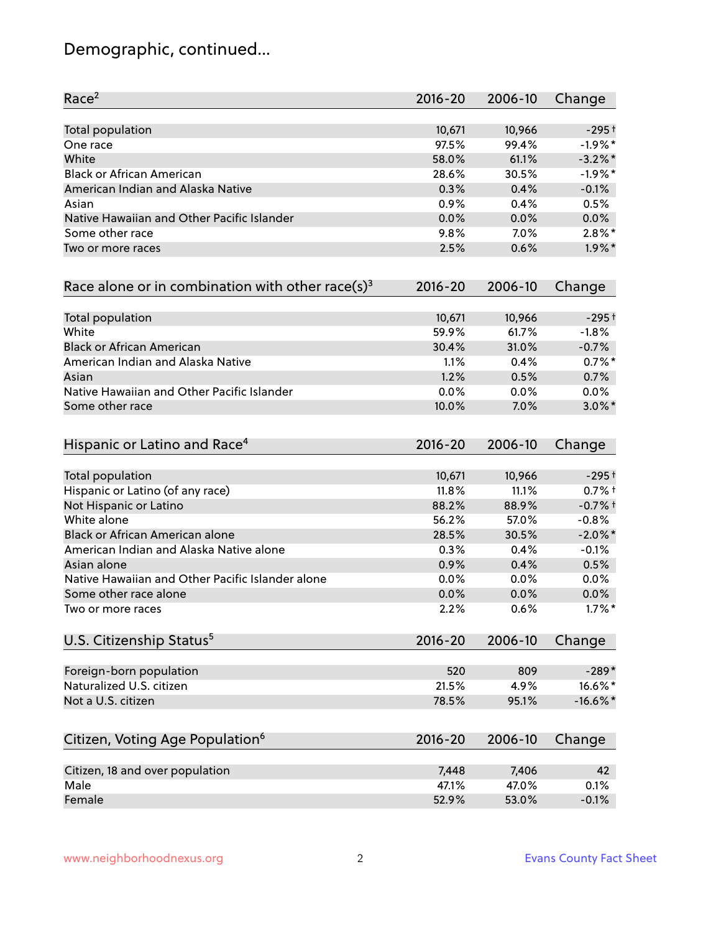# Demographic, continued...

| Race <sup>2</sup>                                   | $2016 - 20$ | 2006-10 | Change     |
|-----------------------------------------------------|-------------|---------|------------|
| <b>Total population</b>                             | 10,671      | 10,966  | $-295+$    |
| One race                                            | 97.5%       | 99.4%   | $-1.9%$ *  |
| White                                               | 58.0%       | 61.1%   | $-3.2\%$ * |
| <b>Black or African American</b>                    | 28.6%       | 30.5%   | $-1.9%$ *  |
| American Indian and Alaska Native                   | 0.3%        | 0.4%    | $-0.1%$    |
| Asian                                               | 0.9%        | 0.4%    | 0.5%       |
| Native Hawaiian and Other Pacific Islander          | 0.0%        | 0.0%    | 0.0%       |
| Some other race                                     | 9.8%        | 7.0%    | $2.8\%$ *  |
| Two or more races                                   | 2.5%        | 0.6%    | $1.9\%$ *  |
| Race alone or in combination with other race(s) $3$ | $2016 - 20$ | 2006-10 | Change     |
| Total population                                    | 10,671      | 10,966  | $-295+$    |
| White                                               | 59.9%       | 61.7%   | $-1.8%$    |
| <b>Black or African American</b>                    | 30.4%       | 31.0%   | $-0.7%$    |
| American Indian and Alaska Native                   | 1.1%        | 0.4%    | $0.7%$ *   |
| Asian                                               | 1.2%        | 0.5%    | 0.7%       |
| Native Hawaiian and Other Pacific Islander          | 0.0%        | 0.0%    | 0.0%       |
| Some other race                                     | 10.0%       | 7.0%    | $3.0\%$ *  |
| Hispanic or Latino and Race <sup>4</sup>            | $2016 - 20$ | 2006-10 | Change     |
| <b>Total population</b>                             | 10,671      | 10,966  | $-295+$    |
| Hispanic or Latino (of any race)                    | 11.8%       | 11.1%   | $0.7%$ +   |
| Not Hispanic or Latino                              | 88.2%       | 88.9%   | $-0.7%$ †  |
| White alone                                         | 56.2%       | 57.0%   | $-0.8%$    |
| Black or African American alone                     | 28.5%       | 30.5%   | $-2.0\%$ * |
| American Indian and Alaska Native alone             | 0.3%        | 0.4%    | $-0.1%$    |
| Asian alone                                         | 0.9%        | 0.4%    | 0.5%       |
| Native Hawaiian and Other Pacific Islander alone    | 0.0%        | 0.0%    | 0.0%       |
| Some other race alone                               | 0.0%        | 0.0%    | $0.0\%$    |
| Two or more races                                   | 2.2%        | 0.6%    | $1.7\%$ *  |
| U.S. Citizenship Status <sup>5</sup>                | $2016 - 20$ | 2006-10 | Change     |
| Foreign-born population                             | 520         | 809     | $-289*$    |
| Naturalized U.S. citizen                            | 21.5%       | 4.9%    | 16.6%*     |
| Not a U.S. citizen                                  | 78.5%       | 95.1%   | $-16.6%$ * |
| Citizen, Voting Age Population <sup>6</sup>         | $2016 - 20$ | 2006-10 | Change     |
|                                                     |             |         |            |
| Citizen, 18 and over population                     | 7,448       | 7,406   | 42         |
| Male                                                | 47.1%       | 47.0%   | 0.1%       |
| Female                                              | 52.9%       | 53.0%   | $-0.1%$    |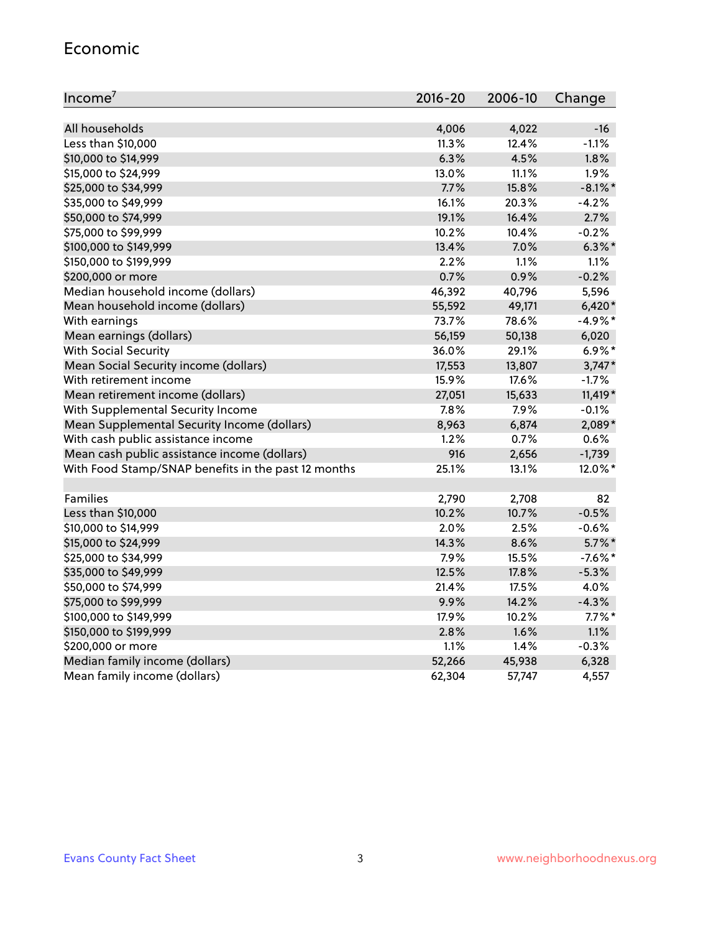#### Economic

| Income <sup>7</sup>                                 | $2016 - 20$ | 2006-10 | Change     |
|-----------------------------------------------------|-------------|---------|------------|
|                                                     |             |         |            |
| All households                                      | 4,006       | 4,022   | $-16$      |
| Less than \$10,000                                  | 11.3%       | 12.4%   | $-1.1%$    |
| \$10,000 to \$14,999                                | 6.3%        | 4.5%    | 1.8%       |
| \$15,000 to \$24,999                                | 13.0%       | 11.1%   | 1.9%       |
| \$25,000 to \$34,999                                | 7.7%        | 15.8%   | $-8.1\%$ * |
| \$35,000 to \$49,999                                | 16.1%       | 20.3%   | $-4.2%$    |
| \$50,000 to \$74,999                                | 19.1%       | 16.4%   | 2.7%       |
| \$75,000 to \$99,999                                | 10.2%       | 10.4%   | $-0.2%$    |
| \$100,000 to \$149,999                              | 13.4%       | 7.0%    | $6.3\%$ *  |
| \$150,000 to \$199,999                              | 2.2%        | 1.1%    | 1.1%       |
| \$200,000 or more                                   | 0.7%        | 0.9%    | $-0.2%$    |
| Median household income (dollars)                   | 46,392      | 40,796  | 5,596      |
| Mean household income (dollars)                     | 55,592      | 49,171  | $6,420*$   |
| With earnings                                       | 73.7%       | 78.6%   | $-4.9%$ *  |
| Mean earnings (dollars)                             | 56,159      | 50,138  | 6,020      |
| <b>With Social Security</b>                         | 36.0%       | 29.1%   | $6.9\%$ *  |
| Mean Social Security income (dollars)               | 17,553      | 13,807  | $3,747*$   |
| With retirement income                              | 15.9%       | 17.6%   | $-1.7%$    |
| Mean retirement income (dollars)                    | 27,051      | 15,633  | $11,419*$  |
| With Supplemental Security Income                   | $7.8\%$     | 7.9%    | $-0.1%$    |
| Mean Supplemental Security Income (dollars)         | 8,963       | 6,874   | 2,089*     |
| With cash public assistance income                  | 1.2%        | 0.7%    | 0.6%       |
| Mean cash public assistance income (dollars)        | 916         | 2,656   | $-1,739$   |
| With Food Stamp/SNAP benefits in the past 12 months | 25.1%       | 13.1%   | 12.0%*     |
|                                                     |             |         |            |
| Families                                            | 2,790       | 2,708   | 82         |
| Less than \$10,000                                  | 10.2%       | 10.7%   | $-0.5%$    |
| \$10,000 to \$14,999                                | 2.0%        | 2.5%    | $-0.6%$    |
| \$15,000 to \$24,999                                | 14.3%       | 8.6%    | $5.7\%$ *  |
| \$25,000 to \$34,999                                | 7.9%        | 15.5%   | $-7.6\%$ * |
| \$35,000 to \$49,999                                | 12.5%       | 17.8%   | $-5.3%$    |
| \$50,000 to \$74,999                                | 21.4%       | 17.5%   | 4.0%       |
| \$75,000 to \$99,999                                | 9.9%        | 14.2%   | $-4.3%$    |
| \$100,000 to \$149,999                              | 17.9%       | 10.2%   | $7.7\%$ *  |
| \$150,000 to \$199,999                              | 2.8%        | 1.6%    | 1.1%       |
| \$200,000 or more                                   | 1.1%        | 1.4%    | $-0.3%$    |
| Median family income (dollars)                      | 52,266      | 45,938  | 6,328      |
| Mean family income (dollars)                        | 62,304      | 57,747  | 4,557      |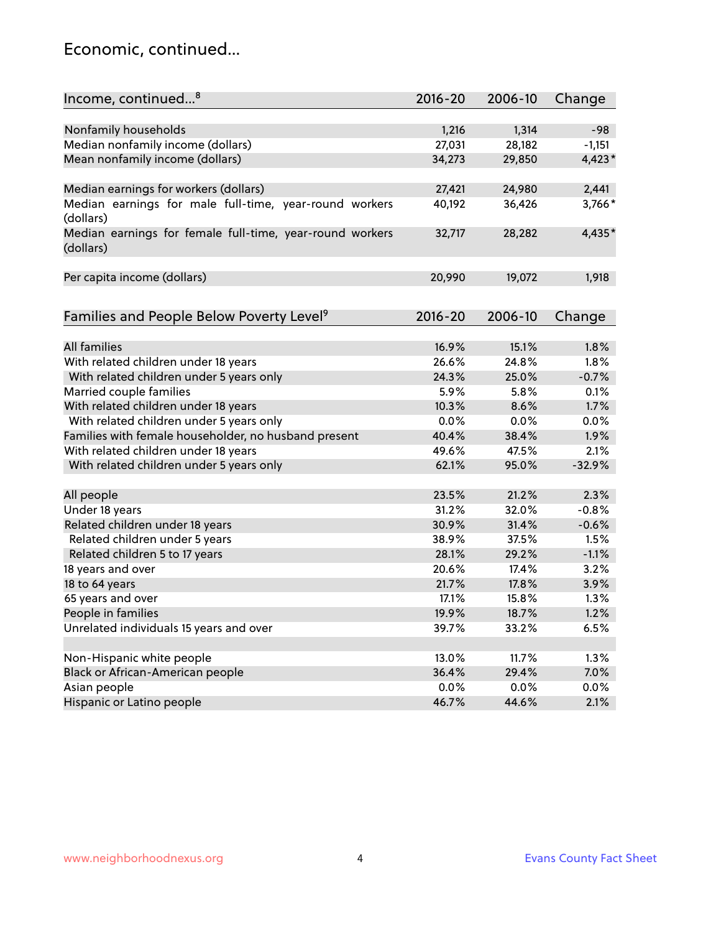## Economic, continued...

| Income, continued <sup>8</sup>                                        | $2016 - 20$ | 2006-10 | Change   |
|-----------------------------------------------------------------------|-------------|---------|----------|
|                                                                       |             |         |          |
| Nonfamily households                                                  | 1,216       | 1,314   | $-98$    |
| Median nonfamily income (dollars)                                     | 27,031      | 28,182  | $-1,151$ |
| Mean nonfamily income (dollars)                                       | 34,273      | 29,850  | 4,423*   |
| Median earnings for workers (dollars)                                 | 27,421      | 24,980  | 2,441    |
| Median earnings for male full-time, year-round workers                | 40,192      | 36,426  | 3,766*   |
| (dollars)                                                             |             |         |          |
| Median earnings for female full-time, year-round workers<br>(dollars) | 32,717      | 28,282  | 4,435*   |
| Per capita income (dollars)                                           | 20,990      | 19,072  | 1,918    |
|                                                                       |             |         |          |
| Families and People Below Poverty Level <sup>9</sup>                  | $2016 - 20$ | 2006-10 | Change   |
| <b>All families</b>                                                   | 16.9%       | 15.1%   | 1.8%     |
| With related children under 18 years                                  | 26.6%       | 24.8%   | 1.8%     |
|                                                                       |             | 25.0%   | $-0.7%$  |
| With related children under 5 years only                              | 24.3%       |         |          |
| Married couple families                                               | 5.9%        | 5.8%    | 0.1%     |
| With related children under 18 years                                  | 10.3%       | 8.6%    | 1.7%     |
| With related children under 5 years only                              | 0.0%        | 0.0%    | 0.0%     |
| Families with female householder, no husband present                  | 40.4%       | 38.4%   | 1.9%     |
| With related children under 18 years                                  | 49.6%       | 47.5%   | 2.1%     |
| With related children under 5 years only                              | 62.1%       | 95.0%   | $-32.9%$ |
| All people                                                            | 23.5%       | 21.2%   | 2.3%     |
| Under 18 years                                                        | 31.2%       | 32.0%   | $-0.8%$  |
| Related children under 18 years                                       | 30.9%       | 31.4%   | $-0.6%$  |
| Related children under 5 years                                        | 38.9%       | 37.5%   | 1.5%     |
| Related children 5 to 17 years                                        | 28.1%       | 29.2%   | $-1.1%$  |
| 18 years and over                                                     | 20.6%       | 17.4%   | 3.2%     |
| 18 to 64 years                                                        | 21.7%       | 17.8%   | 3.9%     |
| 65 years and over                                                     | 17.1%       | 15.8%   | 1.3%     |
| People in families                                                    | 19.9%       | 18.7%   | 1.2%     |
| Unrelated individuals 15 years and over                               | 39.7%       | 33.2%   | 6.5%     |
|                                                                       |             |         |          |
| Non-Hispanic white people                                             | 13.0%       | 11.7%   | 1.3%     |
| Black or African-American people                                      | 36.4%       | 29.4%   | 7.0%     |
| Asian people                                                          | 0.0%        | 0.0%    | 0.0%     |
| Hispanic or Latino people                                             | 46.7%       | 44.6%   | 2.1%     |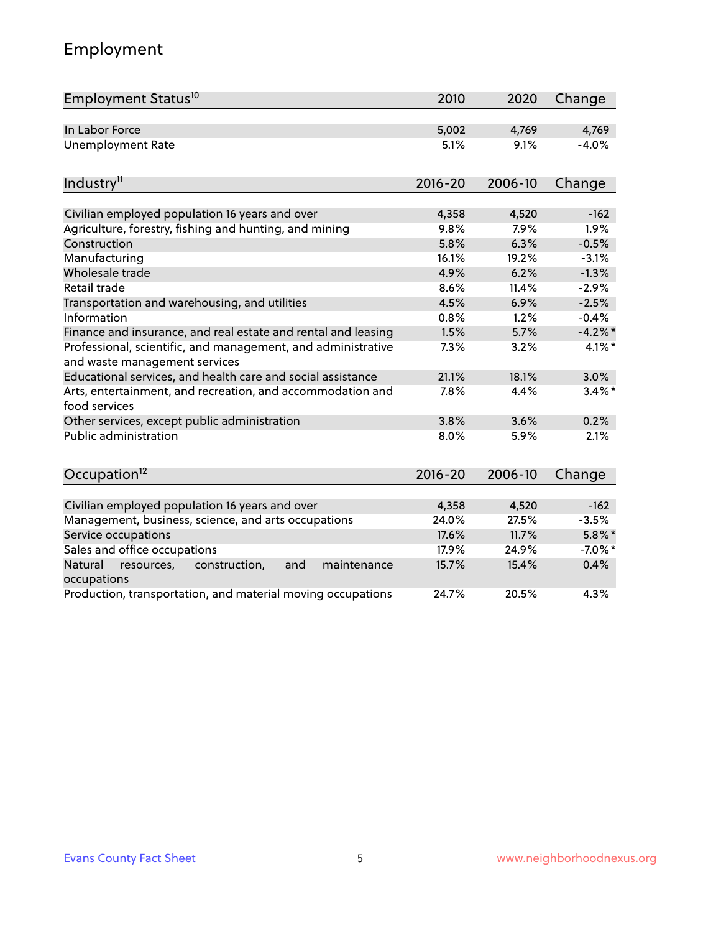# Employment

| Employment Status <sup>10</sup>                                                               | 2010        | 2020    | Change     |
|-----------------------------------------------------------------------------------------------|-------------|---------|------------|
| In Labor Force                                                                                | 5,002       | 4,769   | 4,769      |
| Unemployment Rate                                                                             | 5.1%        | 9.1%    | $-4.0%$    |
| Industry <sup>11</sup>                                                                        | $2016 - 20$ | 2006-10 | Change     |
|                                                                                               |             |         |            |
| Civilian employed population 16 years and over                                                | 4,358       | 4,520   | $-162$     |
| Agriculture, forestry, fishing and hunting, and mining                                        | 9.8%        | 7.9%    | 1.9%       |
| Construction                                                                                  | 5.8%        | 6.3%    | $-0.5%$    |
| Manufacturing                                                                                 | 16.1%       | 19.2%   | $-3.1%$    |
| Wholesale trade                                                                               | 4.9%        | 6.2%    | $-1.3%$    |
| Retail trade                                                                                  | 8.6%        | 11.4%   | $-2.9%$    |
| Transportation and warehousing, and utilities                                                 | 4.5%        | 6.9%    | $-2.5%$    |
| Information                                                                                   | 0.8%        | 1.2%    | $-0.4%$    |
| Finance and insurance, and real estate and rental and leasing                                 | 1.5%        | 5.7%    | $-4.2\%$ * |
| Professional, scientific, and management, and administrative<br>and waste management services | 7.3%        | 3.2%    | $4.1\%$ *  |
| Educational services, and health care and social assistance                                   | 21.1%       | 18.1%   | 3.0%       |
| Arts, entertainment, and recreation, and accommodation and<br>food services                   | 7.8%        | 4.4%    | $3.4\%$ *  |
| Other services, except public administration                                                  | 3.8%        | 3.6%    | 0.2%       |
| <b>Public administration</b>                                                                  | 8.0%        | 5.9%    | 2.1%       |
| Occupation <sup>12</sup>                                                                      | $2016 - 20$ | 2006-10 | Change     |
|                                                                                               |             |         |            |
| Civilian employed population 16 years and over                                                | 4,358       | 4,520   | $-162$     |
| Management, business, science, and arts occupations                                           | 24.0%       | 27.5%   | $-3.5%$    |
| Service occupations                                                                           | 17.6%       | 11.7%   | $5.8\%$ *  |
| Sales and office occupations                                                                  | 17.9%       | 24.9%   | $-7.0\%$ * |
| and<br>Natural<br>resources,<br>construction,<br>maintenance<br>occupations                   | 15.7%       | 15.4%   | 0.4%       |
| Production, transportation, and material moving occupations                                   | 24.7%       | 20.5%   | 4.3%       |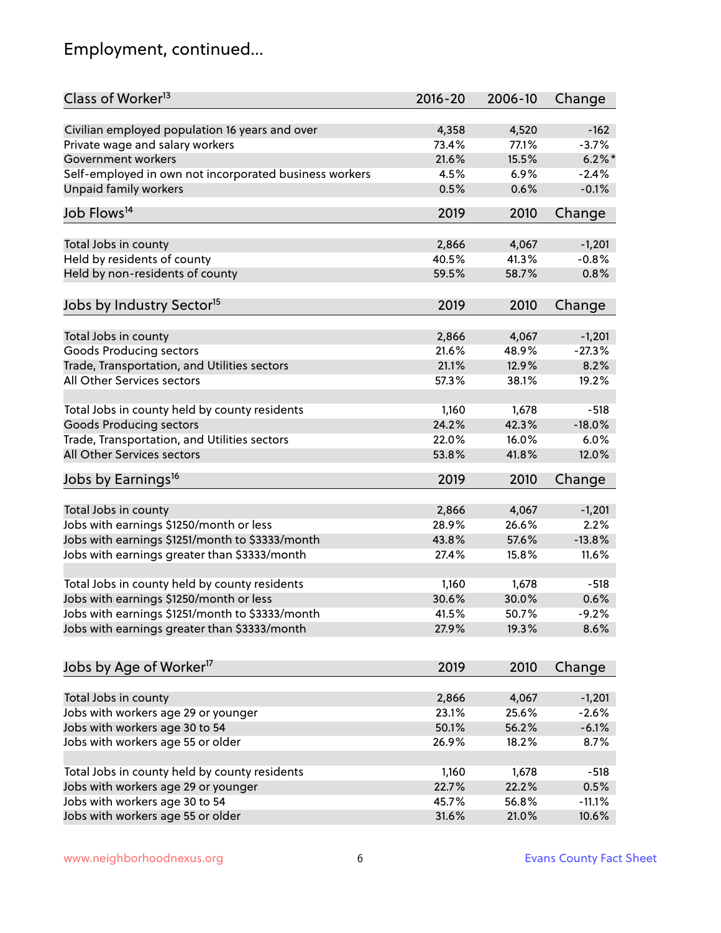# Employment, continued...

| Class of Worker <sup>13</sup>                          | $2016 - 20$ | 2006-10 | Change    |
|--------------------------------------------------------|-------------|---------|-----------|
| Civilian employed population 16 years and over         | 4,358       | 4,520   | $-162$    |
| Private wage and salary workers                        | 73.4%       | 77.1%   | $-3.7%$   |
| Government workers                                     | 21.6%       | 15.5%   | $6.2\%$ * |
| Self-employed in own not incorporated business workers | 4.5%        | 6.9%    | $-2.4%$   |
| Unpaid family workers                                  | 0.5%        | 0.6%    | $-0.1%$   |
| Job Flows <sup>14</sup>                                | 2019        | 2010    | Change    |
|                                                        |             |         |           |
| Total Jobs in county                                   | 2,866       | 4,067   | $-1,201$  |
| Held by residents of county                            | 40.5%       | 41.3%   | $-0.8%$   |
| Held by non-residents of county                        | 59.5%       | 58.7%   | 0.8%      |
| Jobs by Industry Sector <sup>15</sup>                  | 2019        | 2010    | Change    |
|                                                        |             |         |           |
| Total Jobs in county                                   | 2,866       | 4,067   | $-1,201$  |
| Goods Producing sectors                                | 21.6%       | 48.9%   | $-27.3%$  |
| Trade, Transportation, and Utilities sectors           | 21.1%       | 12.9%   | 8.2%      |
| All Other Services sectors                             | 57.3%       | 38.1%   | 19.2%     |
|                                                        |             |         |           |
| Total Jobs in county held by county residents          | 1,160       | 1,678   | $-518$    |
| <b>Goods Producing sectors</b>                         | 24.2%       | 42.3%   | $-18.0%$  |
| Trade, Transportation, and Utilities sectors           | 22.0%       | 16.0%   | 6.0%      |
| All Other Services sectors                             | 53.8%       | 41.8%   | 12.0%     |
| Jobs by Earnings <sup>16</sup>                         | 2019        | 2010    | Change    |
|                                                        |             |         |           |
| Total Jobs in county                                   | 2,866       | 4,067   | $-1,201$  |
| Jobs with earnings \$1250/month or less                | 28.9%       | 26.6%   | 2.2%      |
| Jobs with earnings \$1251/month to \$3333/month        | 43.8%       | 57.6%   | $-13.8%$  |
| Jobs with earnings greater than \$3333/month           | 27.4%       | 15.8%   | 11.6%     |
| Total Jobs in county held by county residents          | 1,160       | 1,678   | $-518$    |
| Jobs with earnings \$1250/month or less                | 30.6%       | 30.0%   | 0.6%      |
| Jobs with earnings \$1251/month to \$3333/month        | 41.5%       | 50.7%   | $-9.2%$   |
| Jobs with earnings greater than \$3333/month           | 27.9%       | 19.3%   | 8.6%      |
|                                                        |             |         |           |
| Jobs by Age of Worker <sup>17</sup>                    | 2019        | 2010    | Change    |
|                                                        |             |         |           |
| Total Jobs in county                                   | 2,866       | 4,067   | $-1,201$  |
| Jobs with workers age 29 or younger                    | 23.1%       | 25.6%   | $-2.6%$   |
| Jobs with workers age 30 to 54                         | 50.1%       | 56.2%   | $-6.1%$   |
| Jobs with workers age 55 or older                      | 26.9%       | 18.2%   | 8.7%      |
| Total Jobs in county held by county residents          | 1,160       | 1,678   | $-518$    |
| Jobs with workers age 29 or younger                    | 22.7%       | 22.2%   | 0.5%      |
| Jobs with workers age 30 to 54                         | 45.7%       | 56.8%   | $-11.1%$  |
| Jobs with workers age 55 or older                      | 31.6%       | 21.0%   | 10.6%     |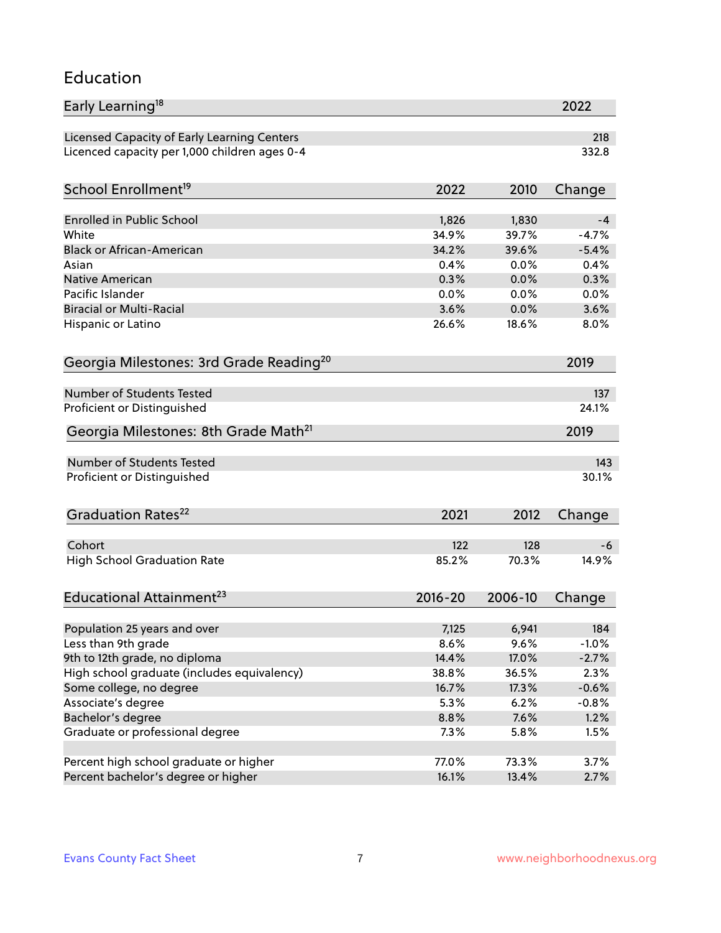#### Education

| Early Learning <sup>18</sup>                        |         |         | 2022    |
|-----------------------------------------------------|---------|---------|---------|
| Licensed Capacity of Early Learning Centers         |         |         | 218     |
| Licenced capacity per 1,000 children ages 0-4       |         |         | 332.8   |
| School Enrollment <sup>19</sup>                     | 2022    | 2010    | Change  |
|                                                     |         |         |         |
| Enrolled in Public School                           | 1,826   | 1,830   | -4      |
| White                                               | 34.9%   | 39.7%   | $-4.7%$ |
| <b>Black or African-American</b>                    | 34.2%   | 39.6%   | $-5.4%$ |
| Asian                                               | 0.4%    | 0.0%    | 0.4%    |
| <b>Native American</b>                              | 0.3%    | 0.0%    | 0.3%    |
| Pacific Islander                                    | 0.0%    | 0.0%    | 0.0%    |
| <b>Biracial or Multi-Racial</b>                     | 3.6%    | 0.0%    | 3.6%    |
| Hispanic or Latino                                  | 26.6%   | 18.6%   | 8.0%    |
| Georgia Milestones: 3rd Grade Reading <sup>20</sup> |         |         | 2019    |
|                                                     |         |         |         |
| Number of Students Tested                           |         |         | 137     |
| Proficient or Distinguished                         |         |         | 24.1%   |
| Georgia Milestones: 8th Grade Math <sup>21</sup>    |         |         | 2019    |
| Number of Students Tested                           |         |         | 143     |
| Proficient or Distinguished                         |         |         | 30.1%   |
|                                                     |         |         |         |
| Graduation Rates <sup>22</sup>                      | 2021    | 2012    | Change  |
| Cohort                                              | 122     | 128     | -6      |
| <b>High School Graduation Rate</b>                  | 85.2%   | 70.3%   | 14.9%   |
|                                                     |         |         |         |
| Educational Attainment <sup>23</sup>                | 2016-20 | 2006-10 | Change  |
| Population 25 years and over                        | 7,125   | 6,941   | 184     |
| Less than 9th grade                                 | 8.6%    | 9.6%    | $-1.0%$ |
| 9th to 12th grade, no diploma                       | 14.4%   | 17.0%   | $-2.7%$ |
|                                                     |         |         |         |
| High school graduate (includes equivalency)         | 38.8%   | 36.5%   | 2.3%    |
| Some college, no degree                             | 16.7%   | 17.3%   | $-0.6%$ |
| Associate's degree                                  | 5.3%    | 6.2%    | $-0.8%$ |
| Bachelor's degree                                   | 8.8%    | 7.6%    | 1.2%    |
| Graduate or professional degree                     | 7.3%    | 5.8%    | 1.5%    |
| Percent high school graduate or higher              | 77.0%   | 73.3%   | 3.7%    |
| Percent bachelor's degree or higher                 | 16.1%   | 13.4%   | 2.7%    |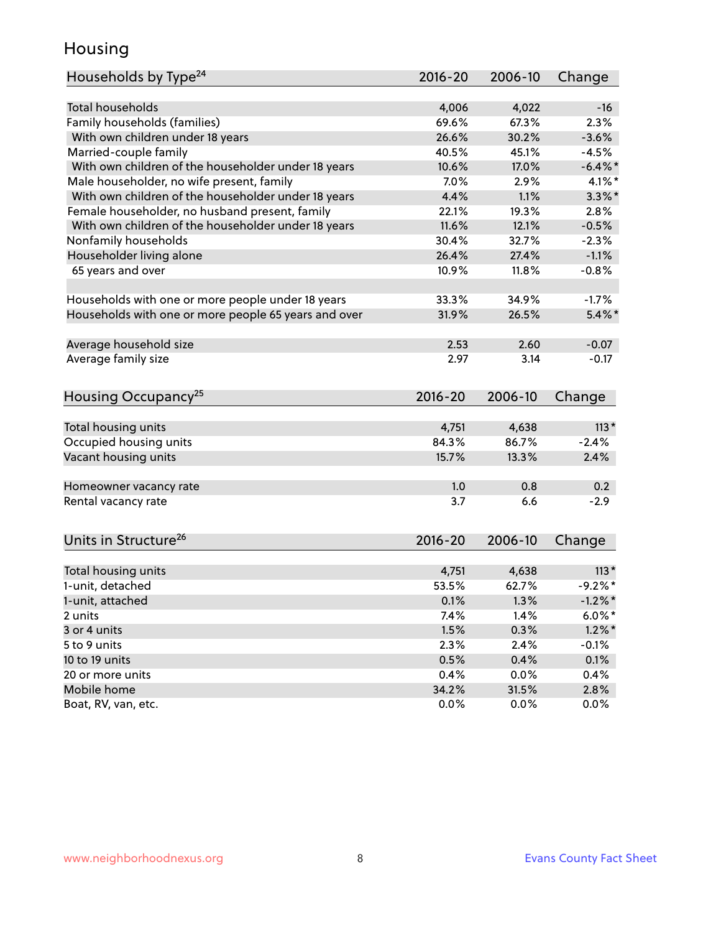## Housing

| Households by Type <sup>24</sup>                     | 2016-20     | 2006-10 | Change     |
|------------------------------------------------------|-------------|---------|------------|
|                                                      |             |         |            |
| <b>Total households</b>                              | 4,006       | 4,022   | $-16$      |
| Family households (families)                         | 69.6%       | 67.3%   | 2.3%       |
| With own children under 18 years                     | 26.6%       | 30.2%   | $-3.6%$    |
| Married-couple family                                | 40.5%       | 45.1%   | $-4.5%$    |
| With own children of the householder under 18 years  | 10.6%       | 17.0%   | $-6.4\%$ * |
| Male householder, no wife present, family            | 7.0%        | 2.9%    | $4.1\%$ *  |
| With own children of the householder under 18 years  | 4.4%        | 1.1%    | $3.3\%$ *  |
| Female householder, no husband present, family       | 22.1%       | 19.3%   | 2.8%       |
| With own children of the householder under 18 years  | 11.6%       | 12.1%   | $-0.5%$    |
| Nonfamily households                                 | 30.4%       | 32.7%   | $-2.3%$    |
| Householder living alone                             | 26.4%       | 27.4%   | $-1.1%$    |
| 65 years and over                                    | 10.9%       | 11.8%   | $-0.8%$    |
| Households with one or more people under 18 years    | 33.3%       | 34.9%   | $-1.7%$    |
| Households with one or more people 65 years and over | 31.9%       | 26.5%   | $5.4\%$ *  |
|                                                      |             |         |            |
| Average household size                               | 2.53        | 2.60    | $-0.07$    |
| Average family size                                  | 2.97        | 3.14    | $-0.17$    |
| Housing Occupancy <sup>25</sup>                      | $2016 - 20$ | 2006-10 | Change     |
|                                                      |             |         |            |
| Total housing units                                  | 4,751       | 4,638   | $113*$     |
| Occupied housing units                               | 84.3%       | 86.7%   | $-2.4%$    |
| Vacant housing units                                 | 15.7%       | 13.3%   | 2.4%       |
| Homeowner vacancy rate                               | 1.0         | 0.8     | 0.2        |
| Rental vacancy rate                                  | 3.7         | 6.6     | $-2.9$     |
| Units in Structure <sup>26</sup>                     | 2016-20     | 2006-10 | Change     |
|                                                      |             |         |            |
| Total housing units                                  | 4,751       | 4,638   | $113*$     |
| 1-unit, detached                                     | 53.5%       | 62.7%   | $-9.2%$ *  |
| 1-unit, attached                                     | 0.1%        | 1.3%    | $-1.2\%$ * |
| 2 units                                              | 7.4%        | 1.4%    | $6.0\%$ *  |
| 3 or 4 units                                         | 1.5%        | 0.3%    | $1.2\%$ *  |
| 5 to 9 units                                         | 2.3%        | 2.4%    | $-0.1%$    |
| 10 to 19 units                                       | 0.5%        | 0.4%    | 0.1%       |
| 20 or more units                                     | 0.4%        | 0.0%    | 0.4%       |
| Mobile home                                          | 34.2%       | 31.5%   | 2.8%       |
| Boat, RV, van, etc.                                  | 0.0%        | $0.0\%$ | $0.0\%$    |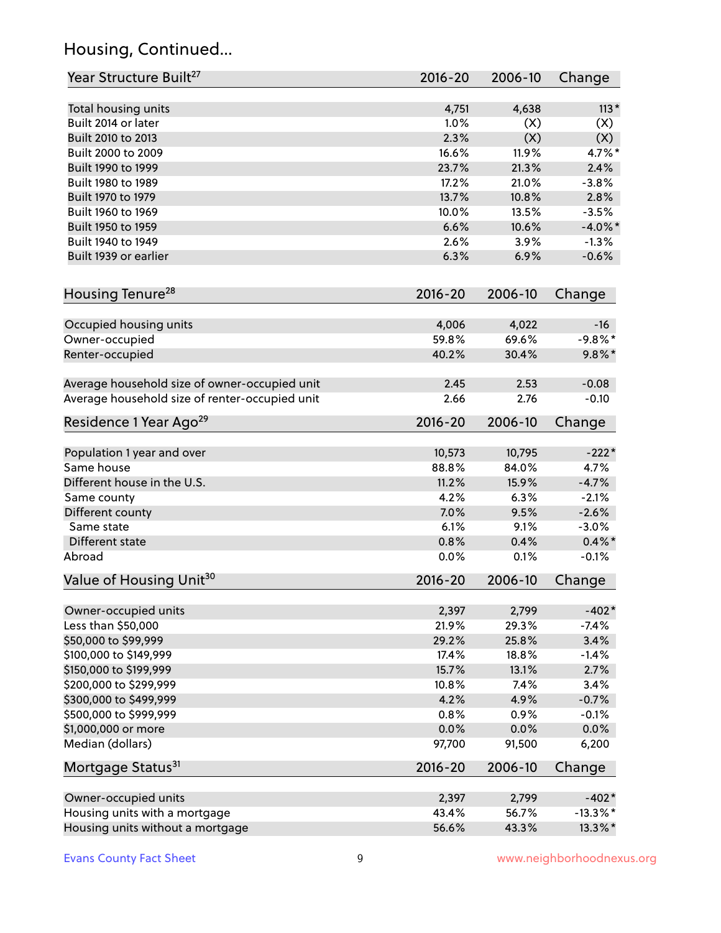# Housing, Continued...

| Year Structure Built <sup>27</sup>             | 2016-20     | 2006-10 | Change      |
|------------------------------------------------|-------------|---------|-------------|
| Total housing units                            | 4,751       | 4,638   | $113*$      |
| Built 2014 or later                            | 1.0%        | (X)     | (X)         |
| Built 2010 to 2013                             | 2.3%        | (X)     | (X)         |
| Built 2000 to 2009                             | 16.6%       | 11.9%   | 4.7%*       |
| Built 1990 to 1999                             | 23.7%       | 21.3%   | 2.4%        |
| Built 1980 to 1989                             | 17.2%       | 21.0%   | $-3.8%$     |
| Built 1970 to 1979                             | 13.7%       | 10.8%   | 2.8%        |
| Built 1960 to 1969                             | 10.0%       | 13.5%   | $-3.5%$     |
| Built 1950 to 1959                             | 6.6%        | 10.6%   | $-4.0\%$ *  |
| Built 1940 to 1949                             | 2.6%        | 3.9%    | $-1.3%$     |
| Built 1939 or earlier                          | 6.3%        | 6.9%    | $-0.6%$     |
| Housing Tenure <sup>28</sup>                   | $2016 - 20$ | 2006-10 | Change      |
| Occupied housing units                         | 4,006       | 4,022   | $-16$       |
| Owner-occupied                                 | 59.8%       | 69.6%   | $-9.8\%$ *  |
| Renter-occupied                                | 40.2%       | 30.4%   | $9.8\%$ *   |
| Average household size of owner-occupied unit  | 2.45        | 2.53    | $-0.08$     |
| Average household size of renter-occupied unit | 2.66        | 2.76    | $-0.10$     |
| Residence 1 Year Ago <sup>29</sup>             | 2016-20     | 2006-10 | Change      |
| Population 1 year and over                     | 10,573      | 10,795  | $-222*$     |
| Same house                                     | 88.8%       | 84.0%   | 4.7%        |
| Different house in the U.S.                    | 11.2%       | 15.9%   | $-4.7%$     |
| Same county                                    | 4.2%        | 6.3%    | $-2.1%$     |
| Different county                               | 7.0%        | 9.5%    | $-2.6%$     |
| Same state                                     | 6.1%        | 9.1%    | $-3.0%$     |
| Different state                                | 0.8%        | 0.4%    | $0.4\%$ *   |
| Abroad                                         | 0.0%        | 0.1%    | $-0.1%$     |
| Value of Housing Unit <sup>30</sup>            | $2016 - 20$ | 2006-10 | Change      |
| Owner-occupied units                           | 2,397       | 2,799   | $-402*$     |
| Less than \$50,000                             | 21.9%       | 29.3%   | $-7.4%$     |
| \$50,000 to \$99,999                           | 29.2%       | 25.8%   | 3.4%        |
| \$100,000 to \$149,999                         | 17.4%       | 18.8%   | $-1.4%$     |
| \$150,000 to \$199,999                         | 15.7%       | 13.1%   | 2.7%        |
| \$200,000 to \$299,999                         | 10.8%       | 7.4%    | 3.4%        |
| \$300,000 to \$499,999                         | 4.2%        | 4.9%    | $-0.7%$     |
| \$500,000 to \$999,999                         | 0.8%        | 0.9%    | $-0.1%$     |
| \$1,000,000 or more                            | 0.0%        | 0.0%    | 0.0%        |
| Median (dollars)                               | 97,700      | 91,500  | 6,200       |
| Mortgage Status <sup>31</sup>                  | 2016-20     | 2006-10 | Change      |
| Owner-occupied units                           | 2,397       | 2,799   | $-402*$     |
| Housing units with a mortgage                  | 43.4%       | 56.7%   | $-13.3\%$ * |
| Housing units without a mortgage               | 56.6%       | 43.3%   | 13.3%*      |
|                                                |             |         |             |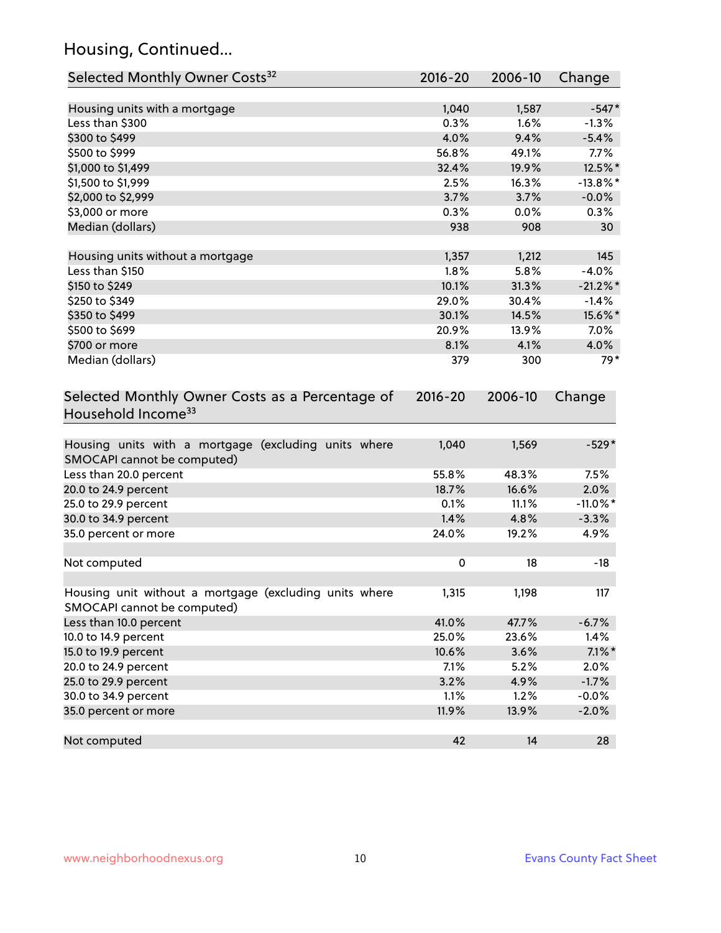# Housing, Continued...

| Selected Monthly Owner Costs <sup>32</sup>                                            | 2016-20     | 2006-10 | Change      |
|---------------------------------------------------------------------------------------|-------------|---------|-------------|
| Housing units with a mortgage                                                         | 1,040       | 1,587   | $-547*$     |
| Less than \$300                                                                       | 0.3%        | 1.6%    | $-1.3%$     |
| \$300 to \$499                                                                        | 4.0%        | 9.4%    | $-5.4%$     |
| \$500 to \$999                                                                        | 56.8%       | 49.1%   | 7.7%        |
| \$1,000 to \$1,499                                                                    | 32.4%       | 19.9%   | 12.5%*      |
| \$1,500 to \$1,999                                                                    | 2.5%        | 16.3%   | $-13.8\%$ * |
| \$2,000 to \$2,999                                                                    | 3.7%        | 3.7%    | $-0.0%$     |
| \$3,000 or more                                                                       | 0.3%        | 0.0%    | 0.3%        |
| Median (dollars)                                                                      | 938         | 908     | 30          |
| Housing units without a mortgage                                                      | 1,357       | 1,212   | 145         |
| Less than \$150                                                                       | 1.8%        | 5.8%    | $-4.0%$     |
| \$150 to \$249                                                                        | 10.1%       | 31.3%   | $-21.2\%$ * |
| \$250 to \$349                                                                        | 29.0%       | 30.4%   | $-1.4%$     |
| \$350 to \$499                                                                        | 30.1%       | 14.5%   | 15.6%*      |
| \$500 to \$699                                                                        | 20.9%       | 13.9%   | $7.0\%$     |
| \$700 or more                                                                         | 8.1%        | 4.1%    | 4.0%        |
| Median (dollars)                                                                      | 379         | 300     | 79*         |
| Selected Monthly Owner Costs as a Percentage of<br>Household Income <sup>33</sup>     | $2016 - 20$ | 2006-10 | Change      |
| Housing units with a mortgage (excluding units where<br>SMOCAPI cannot be computed)   | 1,040       | 1,569   | $-529*$     |
| Less than 20.0 percent                                                                | 55.8%       | 48.3%   | 7.5%        |
| 20.0 to 24.9 percent                                                                  | 18.7%       | 16.6%   | 2.0%        |
| 25.0 to 29.9 percent                                                                  | 0.1%        | 11.1%   | $-11.0\%$ * |
| 30.0 to 34.9 percent                                                                  | 1.4%        | 4.8%    | $-3.3%$     |
| 35.0 percent or more                                                                  | 24.0%       | 19.2%   | 4.9%        |
| Not computed                                                                          | $\pmb{0}$   | 18      | $-18$       |
| Housing unit without a mortgage (excluding units where<br>SMOCAPI cannot be computed) | 1,315       | 1,198   | 117         |
| Less than 10.0 percent                                                                | 41.0%       | 47.7%   | $-6.7%$     |
| 10.0 to 14.9 percent                                                                  | 25.0%       | 23.6%   | 1.4%        |
| 15.0 to 19.9 percent                                                                  | 10.6%       | 3.6%    | $7.1\%$ *   |
| 20.0 to 24.9 percent                                                                  | 7.1%        | 5.2%    | 2.0%        |
| 25.0 to 29.9 percent                                                                  | 3.2%        | 4.9%    | $-1.7%$     |
| 30.0 to 34.9 percent                                                                  | 1.1%        | 1.2%    | $-0.0%$     |
| 35.0 percent or more                                                                  | 11.9%       | 13.9%   | $-2.0%$     |
| Not computed                                                                          | 42          | 14      | 28          |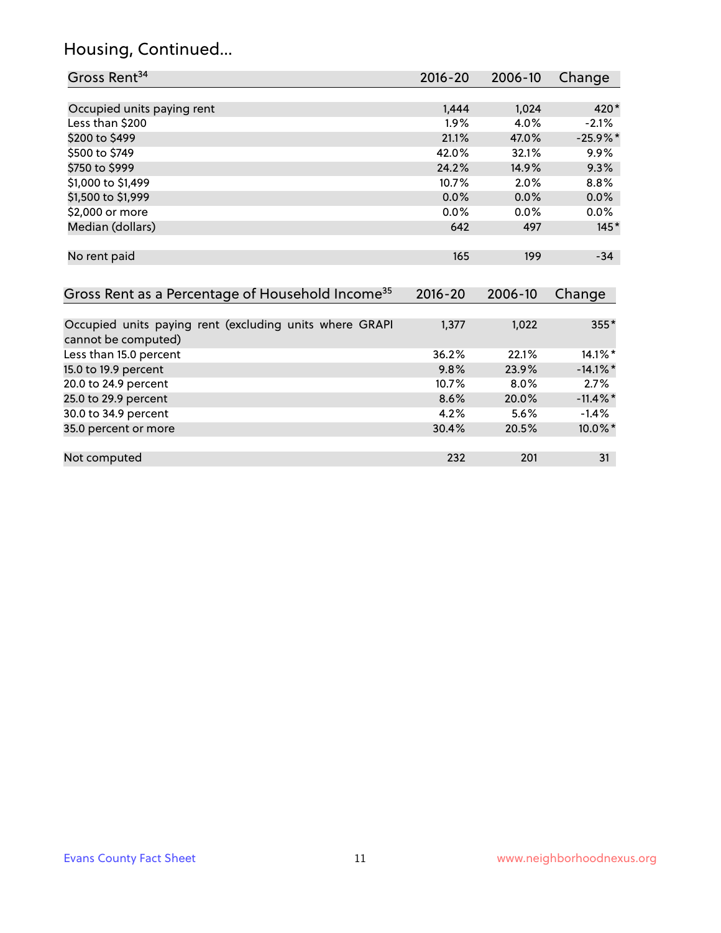# Housing, Continued...

| Gross Rent <sup>34</sup>                                     | $2016 - 20$ | 2006-10 | Change      |
|--------------------------------------------------------------|-------------|---------|-------------|
|                                                              |             |         |             |
| Occupied units paying rent                                   | 1,444       | 1,024   | 420*        |
| Less than \$200                                              | 1.9%        | 4.0%    | $-2.1%$     |
| \$200 to \$499                                               | 21.1%       | 47.0%   | $-25.9%$ *  |
| \$500 to \$749                                               | 42.0%       | 32.1%   | $9.9\%$     |
| \$750 to \$999                                               | 24.2%       | 14.9%   | 9.3%        |
| \$1,000 to \$1,499                                           | 10.7%       | 2.0%    | 8.8%        |
| \$1,500 to \$1,999                                           | 0.0%        | 0.0%    | 0.0%        |
| \$2,000 or more                                              | 0.0%        | 0.0%    | $0.0\%$     |
| Median (dollars)                                             | 642         | 497     | $145*$      |
|                                                              |             |         |             |
| No rent paid                                                 | 165         | 199     | $-34$       |
|                                                              |             |         |             |
| Gross Rent as a Percentage of Household Income <sup>35</sup> | $2016 - 20$ | 2006-10 | Change      |
|                                                              |             |         |             |
| Occupied units paying rent (excluding units where GRAPI      | 1,377       | 1,022   | 355*        |
| cannot be computed)                                          |             |         |             |
| Less than 15.0 percent                                       | 36.2%       | 22.1%   | 14.1%*      |
| 15.0 to 19.9 percent                                         | 9.8%        | 23.9%   | $-14.1\%$ * |
| 20.0 to 24.9 percent                                         | 10.7%       | $8.0\%$ | 2.7%        |
| 25.0 to 29.9 percent                                         | 8.6%        | 20.0%   | $-11.4\%$ * |
| 30.0 to 34.9 percent                                         | 4.2%        | 5.6%    | $-1.4%$     |
| 35.0 percent or more                                         | 30.4%       | 20.5%   | 10.0%*      |
|                                                              |             |         |             |

Not computed 232 201 31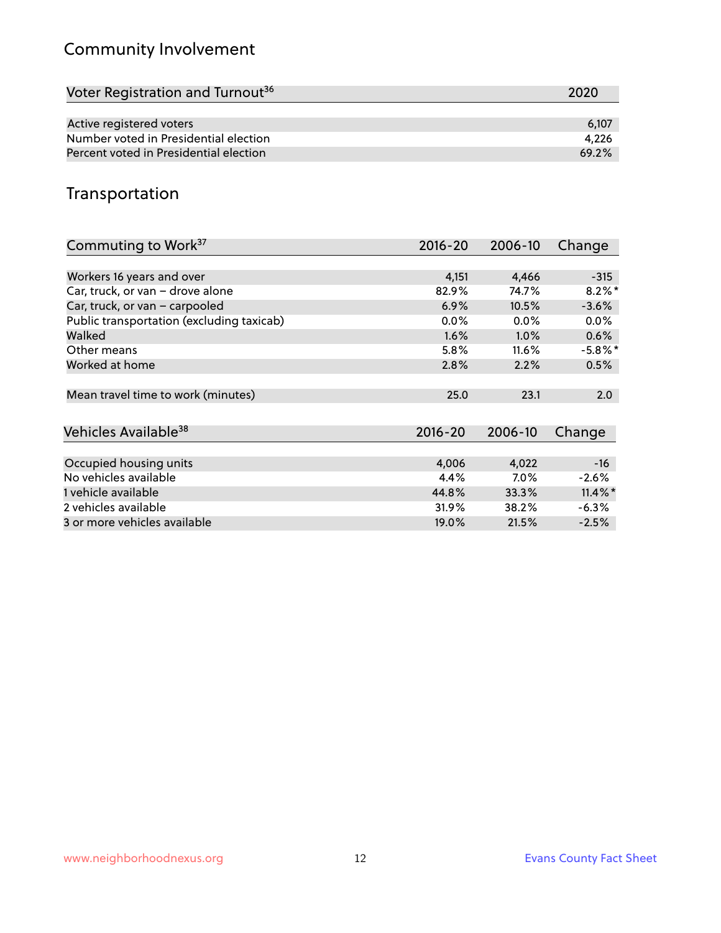# Community Involvement

| Voter Registration and Turnout <sup>36</sup> | 2020  |
|----------------------------------------------|-------|
|                                              |       |
| Active registered voters                     | 6.107 |
| Number voted in Presidential election        | 4.226 |
| Percent voted in Presidential election       | 69.2% |

# Transportation

| Commuting to Work <sup>37</sup>           | 2016-20     | 2006-10  | Change     |
|-------------------------------------------|-------------|----------|------------|
|                                           |             |          |            |
| Workers 16 years and over                 | 4,151       | 4,466    | $-315$     |
| Car, truck, or van - drove alone          | 82.9%       | 74.7%    | $8.2\%$ *  |
| Car, truck, or van - carpooled            | 6.9%        | 10.5%    | $-3.6%$    |
| Public transportation (excluding taxicab) | $0.0\%$     | $0.0\%$  | $0.0\%$    |
| Walked                                    | 1.6%        | $1.0\%$  | 0.6%       |
| Other means                               | 5.8%        | $11.6\%$ | $-5.8\%$ * |
| Worked at home                            | 2.8%        | 2.2%     | 0.5%       |
|                                           |             |          |            |
| Mean travel time to work (minutes)        | 25.0        | 23.1     | 2.0        |
|                                           |             |          |            |
| Vehicles Available <sup>38</sup>          | $2016 - 20$ | 2006-10  | Change     |
|                                           |             |          |            |
| Occupied housing units                    | 4,006       | 4,022    | $-16$      |
| No vehicles available                     | 4.4%        | $7.0\%$  | $-2.6%$    |
| 1 vehicle available                       | 44.8%       | 33.3%    | $11.4\%$ * |
| 2 vehicles available                      | 31.9%       | 38.2%    | $-6.3%$    |
| 3 or more vehicles available              | 19.0%       | 21.5%    | $-2.5%$    |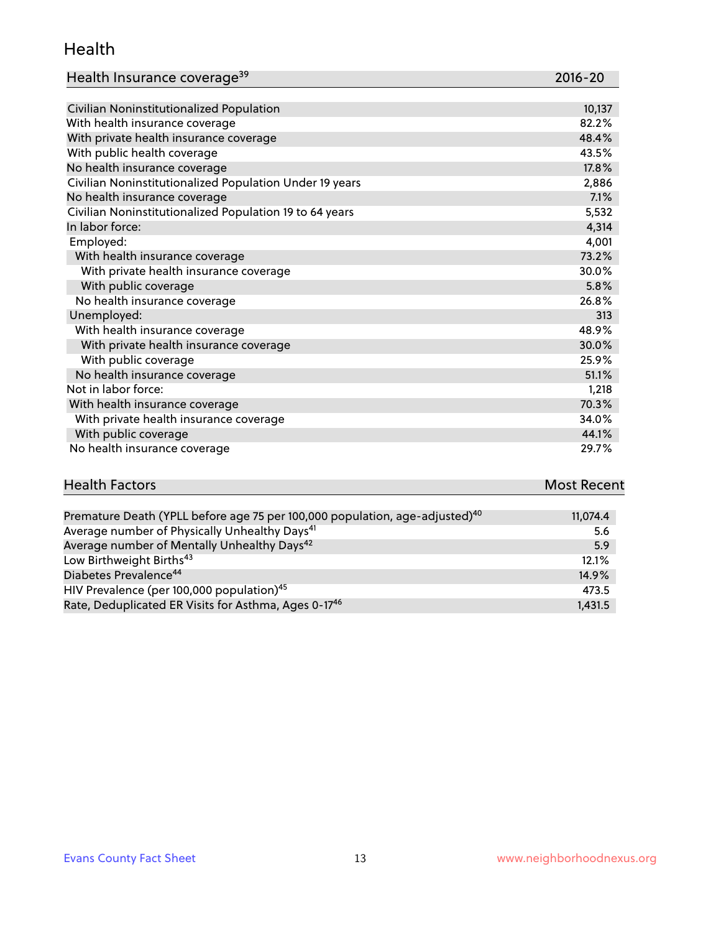#### Health

| Health Insurance coverage <sup>39</sup> | 2016-20 |
|-----------------------------------------|---------|
|-----------------------------------------|---------|

| Civilian Noninstitutionalized Population                | 10,137 |
|---------------------------------------------------------|--------|
| With health insurance coverage                          | 82.2%  |
| With private health insurance coverage                  | 48.4%  |
| With public health coverage                             | 43.5%  |
| No health insurance coverage                            | 17.8%  |
| Civilian Noninstitutionalized Population Under 19 years | 2,886  |
| No health insurance coverage                            | 7.1%   |
| Civilian Noninstitutionalized Population 19 to 64 years | 5,532  |
| In labor force:                                         | 4,314  |
| Employed:                                               | 4,001  |
| With health insurance coverage                          | 73.2%  |
| With private health insurance coverage                  | 30.0%  |
| With public coverage                                    | 5.8%   |
| No health insurance coverage                            | 26.8%  |
| Unemployed:                                             | 313    |
| With health insurance coverage                          | 48.9%  |
| With private health insurance coverage                  | 30.0%  |
| With public coverage                                    | 25.9%  |
| No health insurance coverage                            | 51.1%  |
| Not in labor force:                                     | 1,218  |
| With health insurance coverage                          | 70.3%  |
| With private health insurance coverage                  | 34.0%  |
| With public coverage                                    | 44.1%  |
| No health insurance coverage                            | 29.7%  |

# **Health Factors Most Recent** And The Control of the Control of The Control of The Control of The Control of The Control of The Control of The Control of The Control of The Control of The Control of The Control of The Contr

| Premature Death (YPLL before age 75 per 100,000 population, age-adjusted) <sup>40</sup> | 11,074.4 |
|-----------------------------------------------------------------------------------------|----------|
| Average number of Physically Unhealthy Days <sup>41</sup>                               | 5.6      |
| Average number of Mentally Unhealthy Days <sup>42</sup>                                 | 5.9      |
| Low Birthweight Births <sup>43</sup>                                                    | 12.1%    |
| Diabetes Prevalence <sup>44</sup>                                                       | 14.9%    |
| HIV Prevalence (per 100,000 population) <sup>45</sup>                                   | 473.5    |
| Rate, Deduplicated ER Visits for Asthma, Ages 0-17 <sup>46</sup>                        | 1,431.5  |